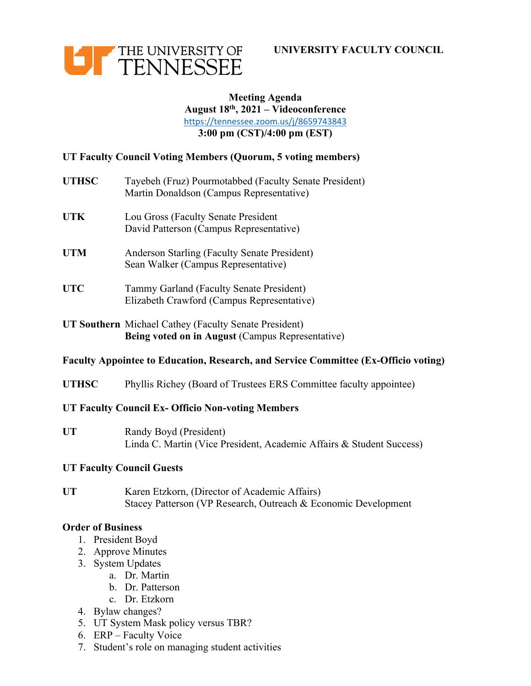



## **Meeting Agenda August 18th, 2021 – Videoconference**  <https://tennessee.zoom.us/j/8659743843> **3:00 pm (CST)/4:00 pm (EST)**

# **UT Faculty Council Voting Members (Quorum, 5 voting members)**

- **UTHSC** Tayebeh (Fruz) Pourmotabbed (Faculty Senate President) Martin Donaldson (Campus Representative)
- **UTK** Lou Gross (Faculty Senate President David Patterson (Campus Representative)
- **UTM Anderson Starling (Faculty Senate President)** Sean Walker (Campus Representative)
- **UTC** Tammy Garland (Faculty Senate President) Elizabeth Crawford (Campus Representative)
- **UT Southern** Michael Cathey (Faculty Senate President) **Being voted on in August** (Campus Representative)

### **Faculty Appointee to Education, Research, and Service Committee (Ex-Officio voting)**

UTHSC Phyllis Richey (Board of Trustees ERS Committee faculty appointee)

### **UT Faculty Council Ex- Officio Non-voting Members**

**UT Randy Boyd (President)** Linda C. Martin (Vice President, Academic Affairs & Student Success)

### **UT Faculty Council Guests**

**UT** Karen Etzkorn, (Director of Academic Affairs) Stacey Patterson (VP Research, Outreach & Economic Development

#### **Order of Business**

- 1. President Boyd
- 2. Approve Minutes
- 3. System Updates
	- a. Dr. Martin
	- b. Dr. Patterson
	- c. Dr. Etzkorn
- 4. Bylaw changes?
- 5. UT System Mask policy versus TBR?
- 6. ERP Faculty Voice
- 7. Student's role on managing student activities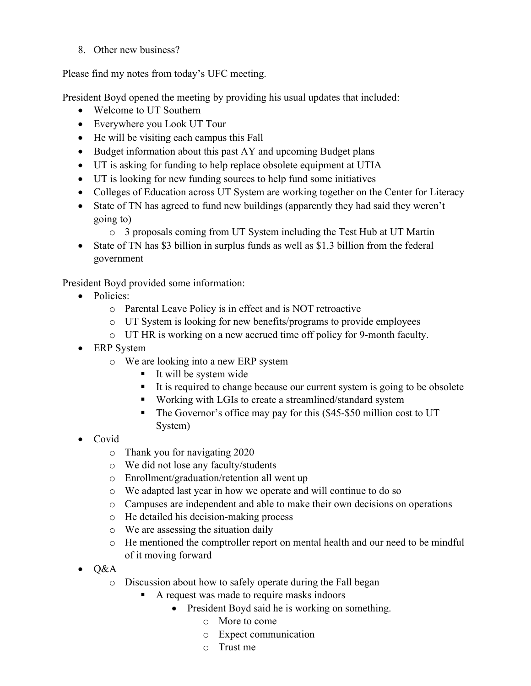8. Other new business?

Please find my notes from today's UFC meeting.

President Boyd opened the meeting by providing his usual updates that included:

- Welcome to UT Southern
- Everywhere you Look UT Tour
- He will be visiting each campus this Fall
- Budget information about this past AY and upcoming Budget plans
- UT is asking for funding to help replace obsolete equipment at UTIA
- UT is looking for new funding sources to help fund some initiatives
- Colleges of Education across UT System are working together on the Center for Literacy
- State of TN has agreed to fund new buildings (apparently they had said they weren't going to)
	- o 3 proposals coming from UT System including the Test Hub at UT Martin
- State of TN has \$3 billion in surplus funds as well as \$1.3 billion from the federal government

President Boyd provided some information:

- Policies:
	- o Parental Leave Policy is in effect and is NOT retroactive
	- o UT System is looking for new benefits/programs to provide employees
	- o UT HR is working on a new accrued time off policy for 9-month faculty.
- ERP System
	- o We are looking into a new ERP system
		- It will be system wide
		- It is required to change because our current system is going to be obsolete
		- Working with LGIs to create a streamlined/standard system
		- The Governor's office may pay for this (\$45-\$50 million cost to UT System)
- Covid
	- o Thank you for navigating 2020
	- o We did not lose any faculty/students
	- o Enrollment/graduation/retention all went up
	- o We adapted last year in how we operate and will continue to do so
	- o Campuses are independent and able to make their own decisions on operations
	- o He detailed his decision-making process
	- o We are assessing the situation daily
	- o He mentioned the comptroller report on mental health and our need to be mindful of it moving forward
- $\bullet$  Q&A
	- o Discussion about how to safely operate during the Fall began
		- A request was made to require masks indoors
			- President Boyd said he is working on something.
				- o More to come
				- o Expect communication
				- o Trust me